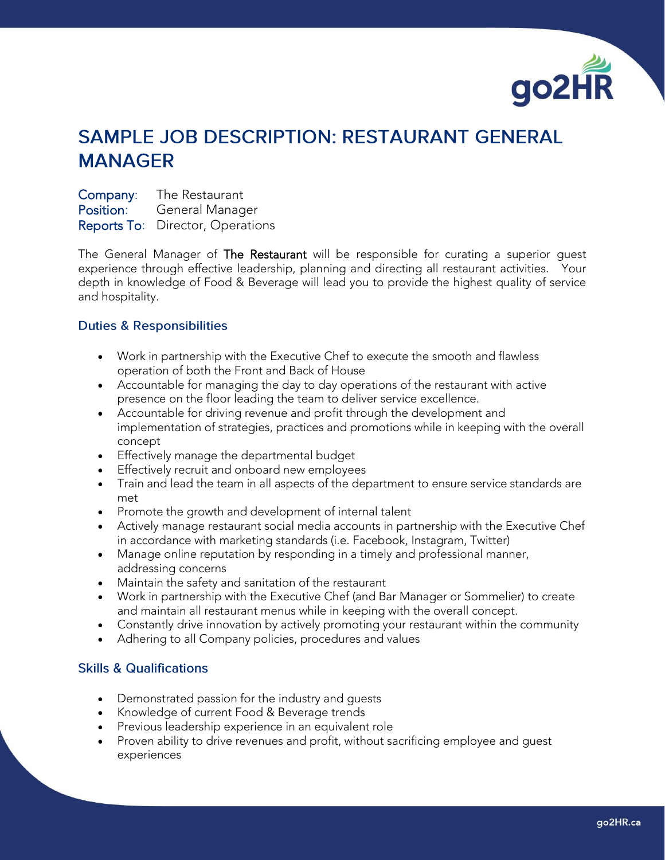

## **SAMPLE JOB DESCRIPTION: RESTAURANT GENERAL MANAGER**

Company: The Restaurant Position: General Manager Reports To: Director, Operations

The General Manager of The Restaurant will be responsible for curating a superior quest experience through effective leadership, planning and directing all restaurant activities. Your depth in knowledge of Food & Beverage will lead you to provide the highest quality of service and hospitality.

## **Duties & Responsibilities**

- Work in partnership with the Executive Chef to execute the smooth and flawless operation of both the Front and Back of House
- Accountable for managing the day to day operations of the restaurant with active presence on the floor leading the team to deliver service excellence.
- Accountable for driving revenue and profit through the development and implementation of strategies, practices and promotions while in keeping with the overall concept
- Effectively manage the departmental budget
- Effectively recruit and onboard new employees
- Train and lead the team in all aspects of the department to ensure service standards are met
- Promote the growth and development of internal talent
- Actively manage restaurant social media accounts in partnership with the Executive Chef in accordance with marketing standards (i.e. Facebook, Instagram, Twitter)
- Manage online reputation by responding in a timely and professional manner, addressing concerns
- Maintain the safety and sanitation of the restaurant
- Work in partnership with the Executive Chef (and Bar Manager or Sommelier) to create and maintain all restaurant menus while in keeping with the overall concept.
- Constantly drive innovation by actively promoting your restaurant within the community
- Adhering to all Company policies, procedures and values

## **Skills & Qualifications**

- Demonstrated passion for the industry and guests
- Knowledge of current Food & Beverage trends
- Previous leadership experience in an equivalent role
- Proven ability to drive revenues and profit, without sacrificing employee and guest experiences